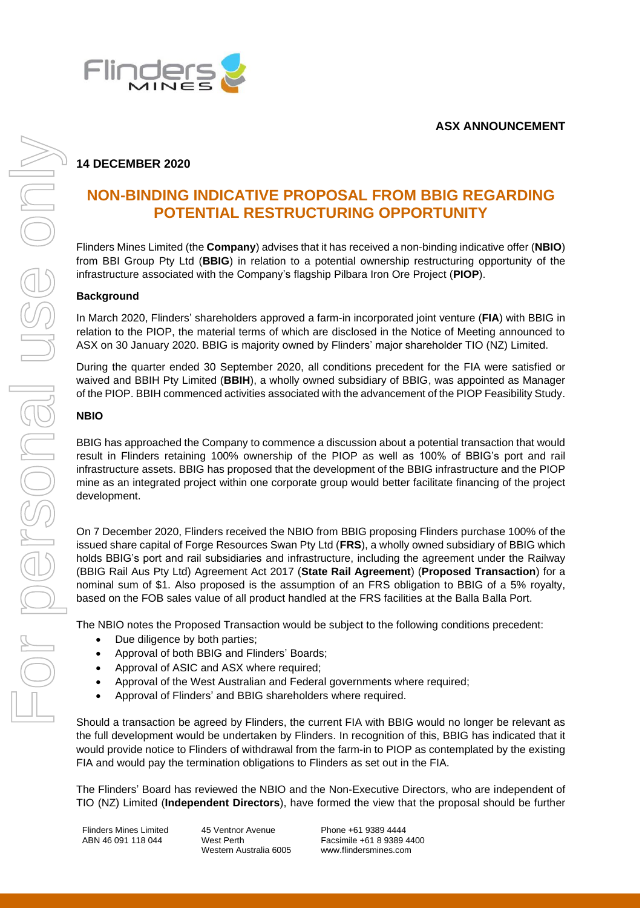

## **ASX ANNOUNCEMENT**

# **14 DECEMBER 2020**

# **NON-BINDING INDICATIVE PROPOSAL FROM BBIG REGARDING POTENTIAL RESTRUCTURING OPPORTUNITY**

Flinders Mines Limited (the **Company**) advises that it has received a non-binding indicative offer (**NBIO**) from BBI Group Pty Ltd (**BBIG**) in relation to a potential ownership restructuring opportunity of the infrastructure associated with the Company's flagship Pilbara Iron Ore Project (**PIOP**).

### **Background**

In March 2020, Flinders' shareholders approved a farm-in incorporated joint venture (**FIA**) with BBIG in relation to the PIOP, the material terms of which are disclosed in the Notice of Meeting announced to ASX on 30 January 2020. BBIG is majority owned by Flinders' major shareholder TIO (NZ) Limited.

During the quarter ended 30 September 2020, all conditions precedent for the FIA were satisfied or waived and BBIH Pty Limited (**BBIH**), a wholly owned subsidiary of BBIG, was appointed as Manager of the PIOP. BBIH commenced activities associated with the advancement of the PIOP Feasibility Study.

#### **NBIO**

BBIG has approached the Company to commence a discussion about a potential transaction that would result in Flinders retaining 100% ownership of the PIOP as well as 100% of BBIG's port and rail infrastructure assets. BBIG has proposed that the development of the BBIG infrastructure and the PIOP mine as an integrated project within one corporate group would better facilitate financing of the project development.

On 7 December 2020, Flinders received the NBIO from BBIG proposing Flinders purchase 100% of the issued share capital of Forge Resources Swan Pty Ltd (**FRS**), a wholly owned subsidiary of BBIG which holds BBIG's port and rail subsidiaries and infrastructure, including the agreement under the Railway (BBIG Rail Aus Pty Ltd) Agreement Act 2017 (**State Rail Agreement**) (**Proposed Transaction**) for a nominal sum of \$1. Also proposed is the assumption of an FRS obligation to BBIG of a 5% royalty, based on the FOB sales value of all product handled at the FRS facilities at the Balla Balla Port.

The NBIO notes the Proposed Transaction would be subject to the following conditions precedent:

- Due diligence by both parties;
- Approval of both BBIG and Flinders' Boards;
- Approval of ASIC and ASX where required:
- Approval of the West Australian and Federal governments where required;
- Approval of Flinders' and BBIG shareholders where required.

Should a transaction be agreed by Flinders, the current FIA with BBIG would no longer be relevant as the full development would be undertaken by Flinders. In recognition of this, BBIG has indicated that it would provide notice to Flinders of withdrawal from the farm-in to PIOP as contemplated by the existing FIA and would pay the termination obligations to Flinders as set out in the FIA.

The Flinders' Board has reviewed the NBIO and the Non-Executive Directors, who are independent of TIO (NZ) Limited (**Independent Directors**), have formed the view that the proposal should be further

Flinders Mines Limited ABN 46 091 118 044

45 Ventnor Avenue West Perth Western Australia 6005 Phone +61 9389 4444 Facsimile +61 8 9389 4400 www.flindersmines.com